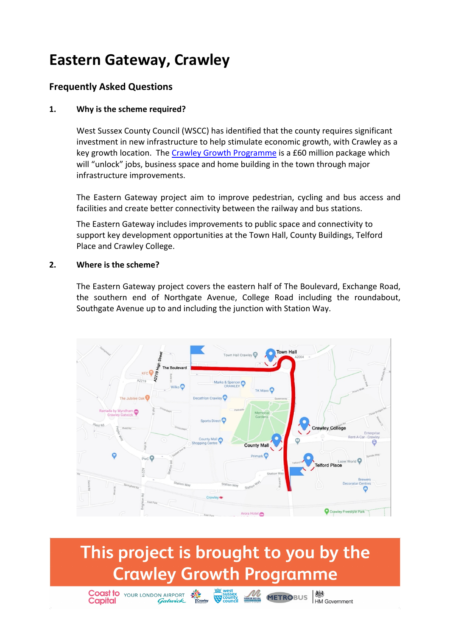### **Eastern Gateway, Crawley**

### **Frequently Asked Questions**

#### **1. Why is the scheme required?**

West Sussex County Council (WSCC) has identified that the county requires significant investment in new infrastructure to help stimulate economic growth, with Crawley as a key growth location. The [Crawley Growth Programme](https://www.westsussex.gov.uk/about-the-council/how-the-council-works/partnership-work/growth-deals/crawley-growth-programme/) is a £60 million package which will "unlock" jobs, business space and home building in the town through major infrastructure improvements.

The Eastern Gateway project aim to improve pedestrian, cycling and bus access and facilities and create better connectivity between the railway and bus stations.

The Eastern Gateway includes improvements to public space and connectivity to support key development opportunities at the Town Hall, County Buildings, Telford Place and Crawley College.

#### **2. Where is the scheme?**

The Eastern Gateway project covers the eastern half of The Boulevard, Exchange Road, the southern end of Northgate Avenue, College Road including the roundabout, Southgate Avenue up to and including the junction with Station Way.



### This project is brought to you by the **Crawley Growth Programme**

**Coast to YOUR LONDON AIRPORT** 

**Capital** 

West sussex<br>
Scounty<br>
County Handhead METROBUS HM Government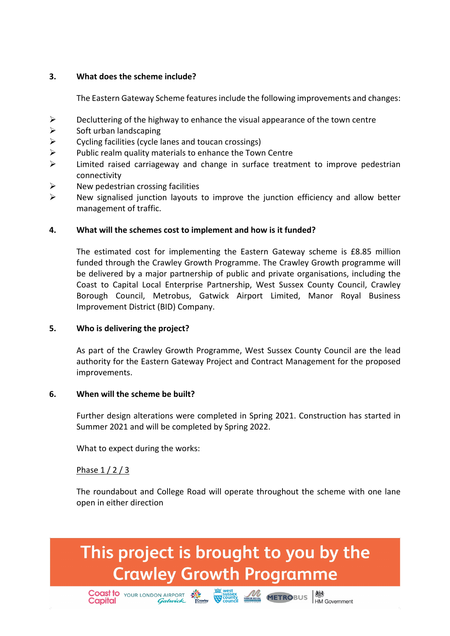#### **3. What does the scheme include?**

The Eastern Gateway Scheme features include the following improvements and changes:

- $\triangleright$  Decluttering of the highway to enhance the visual appearance of the town centre
- $\triangleright$  Soft urban landscaping
- $\triangleright$  Cycling facilities (cycle lanes and toucan crossings)
- $\triangleright$  Public realm quality materials to enhance the Town Centre
- $\triangleright$  Limited raised carriageway and change in surface treatment to improve pedestrian connectivity
- $\triangleright$  New pedestrian crossing facilities
- $\triangleright$  New signalised junction layouts to improve the junction efficiency and allow better management of traffic.

#### **4. What will the schemes cost to implement and how is it funded?**

The estimated cost for implementing the Eastern Gateway scheme is £8.85 million funded through the Crawley Growth Programme. The Crawley Growth programme will be delivered by a major partnership of public and private organisations, including the Coast to Capital Local Enterprise Partnership, West Sussex County Council, Crawley Borough Council, Metrobus, Gatwick Airport Limited, Manor Royal Business Improvement District (BID) Company.

#### **5. Who is delivering the project?**

As part of the Crawley Growth Programme, West Sussex County Council are the lead authority for the Eastern Gateway Project and Contract Management for the proposed improvements.

#### **6. When will the scheme be built?**

Further design alterations were completed in Spring 2021. Construction has started in Summer 2021 and will be completed by Spring 2022.

What to expect during the works:

#### Phase 1 / 2 / 3

The roundabout and College Road will operate throughout the scheme with one lane open in either direction

### This project is brought to you by the **Crawley Growth Programme**

Coast to Your LONDON AIRPORT AND SUSTAIN TO COUNTY AND SOLUTION ON THE GOVERnment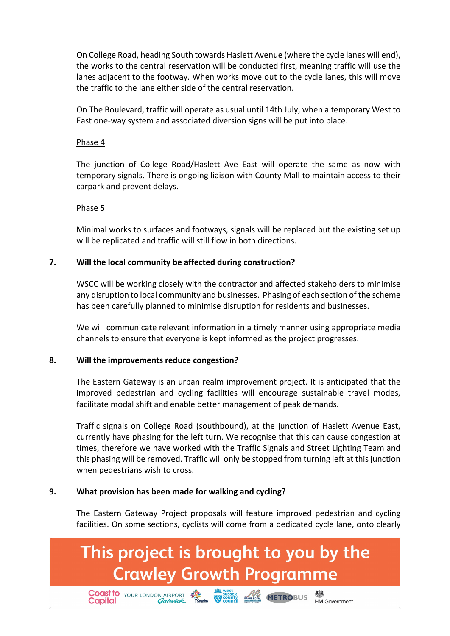On College Road, heading South towards Haslett Avenue (where the cycle lanes will end), the works to the central reservation will be conducted first, meaning traffic will use the lanes adjacent to the footway. When works move out to the cycle lanes, this will move the traffic to the lane either side of the central reservation.

On The Boulevard, traffic will operate as usual until 14th July, when a temporary West to East one-way system and associated diversion signs will be put into place.

#### Phase 4

The junction of College Road/Haslett Ave East will operate the same as now with temporary signals. There is ongoing liaison with County Mall to maintain access to their carpark and prevent delays.

#### Phase 5

Minimal works to surfaces and footways, signals will be replaced but the existing set up will be replicated and traffic will still flow in both directions.

#### **7. Will the local community be affected during construction?**

WSCC will be working closely with the contractor and affected stakeholders to minimise any disruption to local community and businesses. Phasing of each section of the scheme has been carefully planned to minimise disruption for residents and businesses.

We will communicate relevant information in a timely manner using appropriate media channels to ensure that everyone is kept informed as the project progresses.

#### **8. Will the improvements reduce congestion?**

The Eastern Gateway is an urban realm improvement project. It is anticipated that the improved pedestrian and cycling facilities will encourage sustainable travel modes, facilitate modal shift and enable better management of peak demands.

Traffic signals on College Road (southbound), at the junction of Haslett Avenue East, currently have phasing for the left turn. We recognise that this can cause congestion at times, therefore we have worked with the Traffic Signals and Street Lighting Team and this phasing will be removed. Traffic will only be stopped from turning left at this junction when pedestrians wish to cross.

#### **9. What provision has been made for walking and cycling?**

**Capital** 

The Eastern Gateway Project proposals will feature improved pedestrian and cycling facilities. On some sections, cyclists will come from a dedicated cycle lane, onto clearly

# This project is brought to you by the **Crawley Growth Programme**

**Coast to** Your LONDON AIRPORT **SALE SUBJECT AND METROBUS**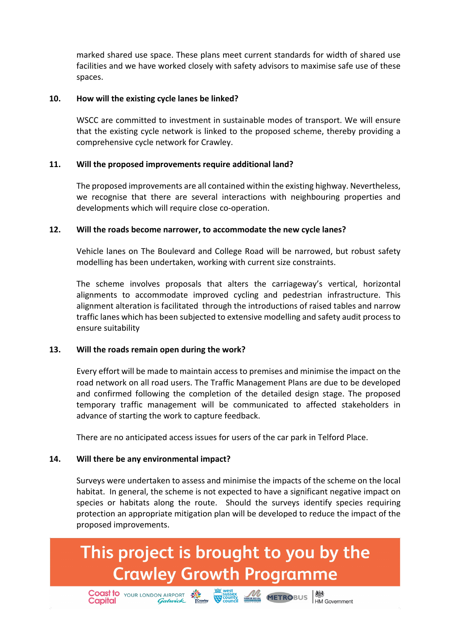marked shared use space. These plans meet current standards for width of shared use facilities and we have worked closely with safety advisors to maximise safe use of these spaces.

#### **10. How will the existing cycle lanes be linked?**

WSCC are committed to investment in sustainable modes of transport. We will ensure that the existing cycle network is linked to the proposed scheme, thereby providing a comprehensive cycle network for Crawley.

#### **11. Will the proposed improvements require additional land?**

The proposed improvements are all contained within the existing highway. Nevertheless, we recognise that there are several interactions with neighbouring properties and developments which will require close co-operation.

#### **12. Will the roads become narrower, to accommodate the new cycle lanes?**

Vehicle lanes on The Boulevard and College Road will be narrowed, but robust safety modelling has been undertaken, working with current size constraints.

The scheme involves proposals that alters the carriageway's vertical, horizontal alignments to accommodate improved cycling and pedestrian infrastructure. This alignment alteration is facilitated through the introductions of raised tables and narrow traffic lanes which has been subjected to extensive modelling and safety audit process to ensure suitability

#### **13. Will the roads remain open during the work?**

Every effort will be made to maintain access to premises and minimise the impact on the road network on all road users. The Traffic Management Plans are due to be developed and confirmed following the completion of the detailed design stage. The proposed temporary traffic management will be communicated to affected stakeholders in advance of starting the work to capture feedback.

There are no anticipated access issues for users of the car park in Telford Place.

#### **14. Will there be any environmental impact?**

**Capital** 

Surveys were undertaken to assess and minimise the impacts of the scheme on the local habitat. In general, the scheme is not expected to have a significant negative impact on species or habitats along the route. Should the surveys identify species requiring protection an appropriate mitigation plan will be developed to reduce the impact of the proposed improvements.

## This project is brought to you by the **Crawley Growth Programme**

**Coast to** Your LONDON AIRPORT **SALE SUSSEX** WEST METROBUS **AND COAST CONSTANT** CONDUCT CONDUCT THE CONDUCT ON THE CONDUCT ON THE CONDUCT ON THE CONDUCT ON THE CONDUCT ON THE CONDUCT ON THE CONDUCT ON THE CONDUCT ON THE CO